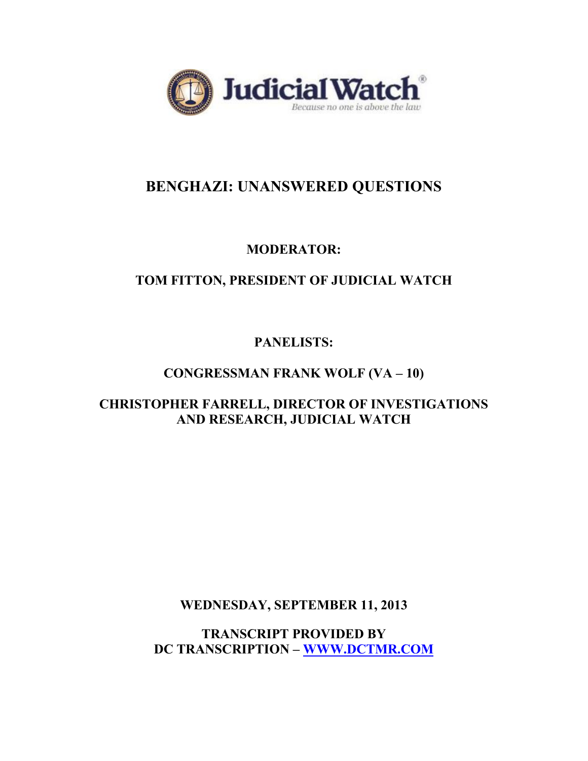

# **BENGHAZI: UNANSWERED QUESTIONS**

## **MODERATOR:**

## **TOM FITTON, PRESIDENT OF JUDICIAL WATCH**

**PANELISTS:** 

#### **CONGRESSMAN FRANK WOLF (VA – 10)**

#### **CHRISTOPHER FARRELL, DIRECTOR OF INVESTIGATIONS AND RESEARCH, JUDICIAL WATCH**

**WEDNESDAY, SEPTEMBER 11, 2013** 

**TRANSCRIPT PROVIDED BY DC TRANSCRIPTION – WWW.DCTMR.COM**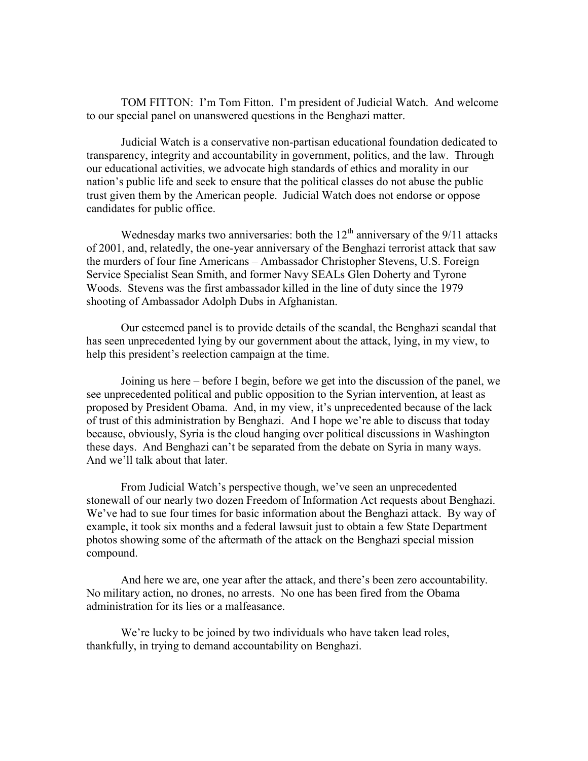TOM FITTON: I'm Tom Fitton. I'm president of Judicial Watch. And welcome to our special panel on unanswered questions in the Benghazi matter.

Judicial Watch is a conservative non-partisan educational foundation dedicated to transparency, integrity and accountability in government, politics, and the law. Through our educational activities, we advocate high standards of ethics and morality in our nation's public life and seek to ensure that the political classes do not abuse the public trust given them by the American people. Judicial Watch does not endorse or oppose candidates for public office.

Wednesday marks two anniversaries: both the  $12<sup>th</sup>$  anniversary of the  $9/11$  attacks of 2001, and, relatedly, the one-year anniversary of the Benghazi terrorist attack that saw the murders of four fine Americans – Ambassador Christopher Stevens, U.S. Foreign Service Specialist Sean Smith, and former Navy SEALs Glen Doherty and Tyrone Woods. Stevens was the first ambassador killed in the line of duty since the 1979 shooting of Ambassador Adolph Dubs in Afghanistan.

Our esteemed panel is to provide details of the scandal, the Benghazi scandal that has seen unprecedented lying by our government about the attack, lying, in my view, to help this president's reelection campaign at the time.

Joining us here – before I begin, before we get into the discussion of the panel, we see unprecedented political and public opposition to the Syrian intervention, at least as proposed by President Obama. And, in my view, it's unprecedented because of the lack of trust of this administration by Benghazi. And I hope we're able to discuss that today because, obviously, Syria is the cloud hanging over political discussions in Washington these days. And Benghazi can't be separated from the debate on Syria in many ways. And we'll talk about that later.

From Judicial Watch's perspective though, we've seen an unprecedented stonewall of our nearly two dozen Freedom of Information Act requests about Benghazi. We've had to sue four times for basic information about the Benghazi attack. By way of example, it took six months and a federal lawsuit just to obtain a few State Department photos showing some of the aftermath of the attack on the Benghazi special mission compound.

And here we are, one year after the attack, and there's been zero accountability. No military action, no drones, no arrests. No one has been fired from the Obama administration for its lies or a malfeasance.

We're lucky to be joined by two individuals who have taken lead roles, thankfully, in trying to demand accountability on Benghazi.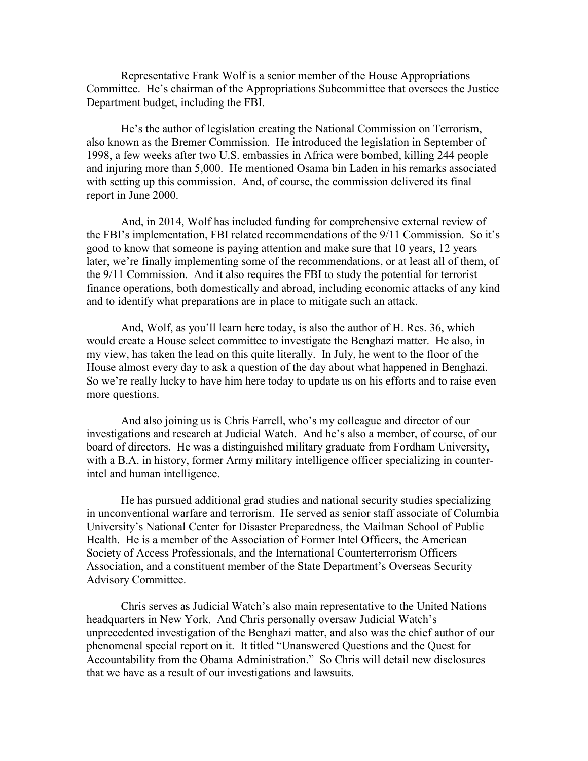Representative Frank Wolf is a senior member of the House Appropriations Committee. He's chairman of the Appropriations Subcommittee that oversees the Justice Department budget, including the FBI.

He's the author of legislation creating the National Commission on Terrorism, also known as the Bremer Commission. He introduced the legislation in September of 1998, a few weeks after two U.S. embassies in Africa were bombed, killing 244 people and injuring more than 5,000. He mentioned Osama bin Laden in his remarks associated with setting up this commission. And, of course, the commission delivered its final report in June 2000.

And, in 2014, Wolf has included funding for comprehensive external review of the FBI's implementation, FBI related recommendations of the 9/11 Commission. So it's good to know that someone is paying attention and make sure that 10 years, 12 years later, we're finally implementing some of the recommendations, or at least all of them, of the 9/11 Commission. And it also requires the FBI to study the potential for terrorist finance operations, both domestically and abroad, including economic attacks of any kind and to identify what preparations are in place to mitigate such an attack.

And, Wolf, as you'll learn here today, is also the author of H. Res. 36, which would create a House select committee to investigate the Benghazi matter. He also, in my view, has taken the lead on this quite literally. In July, he went to the floor of the House almost every day to ask a question of the day about what happened in Benghazi. So we're really lucky to have him here today to update us on his efforts and to raise even more questions.

And also joining us is Chris Farrell, who's my colleague and director of our investigations and research at Judicial Watch. And he's also a member, of course, of our board of directors. He was a distinguished military graduate from Fordham University, with a B.A. in history, former Army military intelligence officer specializing in counterintel and human intelligence.

He has pursued additional grad studies and national security studies specializing in unconventional warfare and terrorism. He served as senior staff associate of Columbia University's National Center for Disaster Preparedness, the Mailman School of Public Health. He is a member of the Association of Former Intel Officers, the American Society of Access Professionals, and the International Counterterrorism Officers Association, and a constituent member of the State Department's Overseas Security Advisory Committee.

Chris serves as Judicial Watch's also main representative to the United Nations headquarters in New York. And Chris personally oversaw Judicial Watch's unprecedented investigation of the Benghazi matter, and also was the chief author of our phenomenal special report on it. It titled "Unanswered Questions and the Quest for Accountability from the Obama Administration." So Chris will detail new disclosures that we have as a result of our investigations and lawsuits.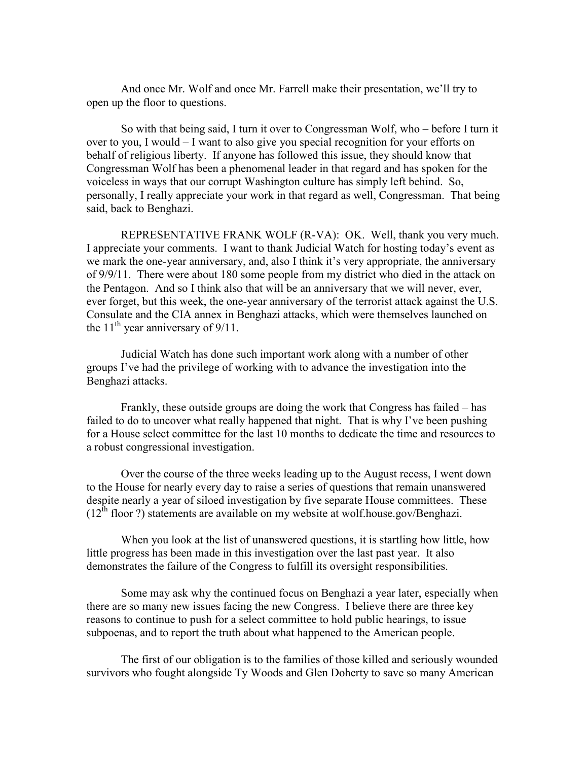And once Mr. Wolf and once Mr. Farrell make their presentation, we'll try to open up the floor to questions.

So with that being said, I turn it over to Congressman Wolf, who – before I turn it over to you, I would – I want to also give you special recognition for your efforts on behalf of religious liberty. If anyone has followed this issue, they should know that Congressman Wolf has been a phenomenal leader in that regard and has spoken for the voiceless in ways that our corrupt Washington culture has simply left behind. So, personally, I really appreciate your work in that regard as well, Congressman. That being said, back to Benghazi.

REPRESENTATIVE FRANK WOLF (R-VA): OK. Well, thank you very much. I appreciate your comments. I want to thank Judicial Watch for hosting today's event as we mark the one-year anniversary, and, also I think it's very appropriate, the anniversary of 9/9/11. There were about 180 some people from my district who died in the attack on the Pentagon. And so I think also that will be an anniversary that we will never, ever, ever forget, but this week, the one-year anniversary of the terrorist attack against the U.S. Consulate and the CIA annex in Benghazi attacks, which were themselves launched on the  $11<sup>th</sup>$  year anniversary of 9/11.

Judicial Watch has done such important work along with a number of other groups I've had the privilege of working with to advance the investigation into the Benghazi attacks.

Frankly, these outside groups are doing the work that Congress has failed – has failed to do to uncover what really happened that night. That is why I've been pushing for a House select committee for the last 10 months to dedicate the time and resources to a robust congressional investigation.

Over the course of the three weeks leading up to the August recess, I went down to the House for nearly every day to raise a series of questions that remain unanswered despite nearly a year of siloed investigation by five separate House committees. These  $(12<sup>th</sup>$  floor ?) statements are available on my website at wolf.house.gov/Benghazi.

When you look at the list of unanswered questions, it is startling how little, how little progress has been made in this investigation over the last past year. It also demonstrates the failure of the Congress to fulfill its oversight responsibilities.

Some may ask why the continued focus on Benghazi a year later, especially when there are so many new issues facing the new Congress. I believe there are three key reasons to continue to push for a select committee to hold public hearings, to issue subpoenas, and to report the truth about what happened to the American people.

The first of our obligation is to the families of those killed and seriously wounded survivors who fought alongside Ty Woods and Glen Doherty to save so many American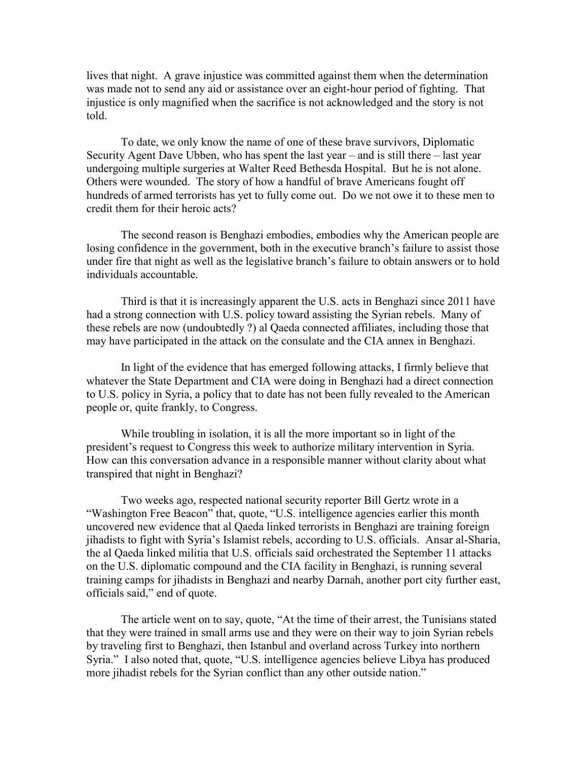lives that night. A grave injustice was committed against them when the determination was made not to send any aid or assistance over an eight-hour period of fighting. That injustice is only magnified when the sacrifice is not acknowledged and the story is not told.

To date, we only know the name of one of these brave survivors, Diplomatic Security Agent Dave Ubben, who has spent the last year – and is still there – last year undergoing multiple surgeries at Walter Reed Bethesda Hospital. But he is not alone. Others were wounded. The story of how a handful of brave Americans fought off hundreds of armed terrorists has yet to fully come out. Do we not owe it to these men to credit them for their heroic acts?

The second reason is Benghazi embodies, embodies why the American people are losing confidence in the government, both in the executive branch's failure to assist those under fire that night as well as the legislative branch's failure to obtain answers or to hold individuals accountable.

Third is that it is increasingly apparent the U.S. acts in Benghazi since 2011 have had a strong connection with U.S. policy toward assisting the Syrian rebels. Many of these rebels are now (undoubtedly ?) al Qaeda connected affiliates, including those that may have participated in the attack on the consulate and the CIA annex in Benghazi.

In light of the evidence that has emerged following attacks, I firmly believe that whatever the State Department and CIA were doing in Benghazi had a direct connection to U.S. policy in Syria, a policy that to date has not been fully revealed to the American people or, quite frankly, to Congress.

While troubling in isolation, it is all the more important so in light of the president's request to Congress this week to authorize military intervention in Syria. How can this conversation advance in a responsible manner without clarity about what transpired that night in Benghazi?

Two weeks ago, respected national security reporter Bill Gertz wrote in a "Washington Free Beacon" that, quote, "U.S. intelligence agencies earlier this month uncovered new evidence that al Qaeda linked terrorists in Benghazi are training foreign jihadists to fight with Syria's Islamist rebels, according to U.S. officials. Ansar al-Sharia, the al Qaeda linked militia that U.S. officials said orchestrated the September 11 attacks on the U.S. diplomatic compound and the CIA facility in Benghazi, is running several training camps for jihadists in Benghazi and nearby Darnah, another port city further east, officials said," end of quote.

The article went on to say, quote, "At the time of their arrest, the Tunisians stated that they were trained in small arms use and they were on their way to join Syrian rebels by traveling first to Benghazi, then Istanbul and overland across Turkey into northern Syria." I also noted that, quote, "U.S. intelligence agencies believe Libya has produced more jihadist rebels for the Syrian conflict than any other outside nation."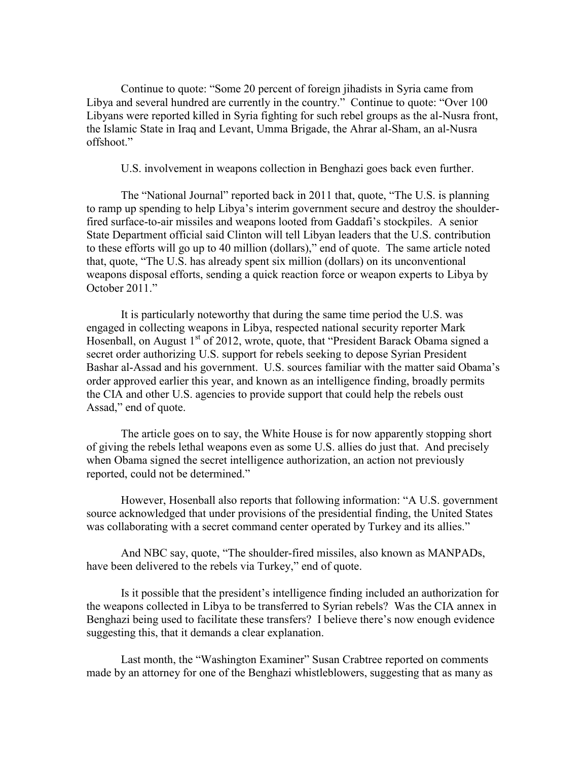Continue to quote: "Some 20 percent of foreign jihadists in Syria came from Libya and several hundred are currently in the country." Continue to quote: "Over 100 Libyans were reported killed in Syria fighting for such rebel groups as the al-Nusra front, the Islamic State in Iraq and Levant, Umma Brigade, the Ahrar al-Sham, an al-Nusra offshoot."

U.S. involvement in weapons collection in Benghazi goes back even further.

The "National Journal" reported back in 2011 that, quote, "The U.S. is planning to ramp up spending to help Libya's interim government secure and destroy the shoulderfired surface-to-air missiles and weapons looted from Gaddafi's stockpiles. A senior State Department official said Clinton will tell Libyan leaders that the U.S. contribution to these efforts will go up to 40 million (dollars)," end of quote. The same article noted that, quote, "The U.S. has already spent six million (dollars) on its unconventional weapons disposal efforts, sending a quick reaction force or weapon experts to Libya by October 2011."

It is particularly noteworthy that during the same time period the U.S. was engaged in collecting weapons in Libya, respected national security reporter Mark Hosenball, on August 1<sup>st</sup> of 2012, wrote, quote, that "President Barack Obama signed a secret order authorizing U.S. support for rebels seeking to depose Syrian President Bashar al-Assad and his government. U.S. sources familiar with the matter said Obama's order approved earlier this year, and known as an intelligence finding, broadly permits the CIA and other U.S. agencies to provide support that could help the rebels oust Assad," end of quote.

The article goes on to say, the White House is for now apparently stopping short of giving the rebels lethal weapons even as some U.S. allies do just that. And precisely when Obama signed the secret intelligence authorization, an action not previously reported, could not be determined."

However, Hosenball also reports that following information: "A U.S. government source acknowledged that under provisions of the presidential finding, the United States was collaborating with a secret command center operated by Turkey and its allies."

And NBC say, quote, "The shoulder-fired missiles, also known as MANPADs, have been delivered to the rebels via Turkey," end of quote.

Is it possible that the president's intelligence finding included an authorization for the weapons collected in Libya to be transferred to Syrian rebels? Was the CIA annex in Benghazi being used to facilitate these transfers? I believe there's now enough evidence suggesting this, that it demands a clear explanation.

Last month, the "Washington Examiner" Susan Crabtree reported on comments made by an attorney for one of the Benghazi whistleblowers, suggesting that as many as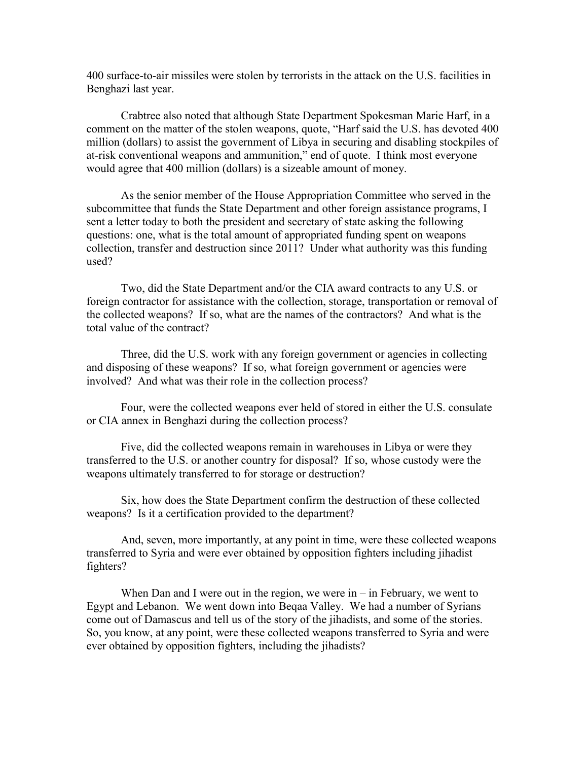400 surface-to-air missiles were stolen by terrorists in the attack on the U.S. facilities in Benghazi last year.

Crabtree also noted that although State Department Spokesman Marie Harf, in a comment on the matter of the stolen weapons, quote, "Harf said the U.S. has devoted 400 million (dollars) to assist the government of Libya in securing and disabling stockpiles of at-risk conventional weapons and ammunition," end of quote. I think most everyone would agree that 400 million (dollars) is a sizeable amount of money.

As the senior member of the House Appropriation Committee who served in the subcommittee that funds the State Department and other foreign assistance programs, I sent a letter today to both the president and secretary of state asking the following questions: one, what is the total amount of appropriated funding spent on weapons collection, transfer and destruction since 2011? Under what authority was this funding used?

Two, did the State Department and/or the CIA award contracts to any U.S. or foreign contractor for assistance with the collection, storage, transportation or removal of the collected weapons? If so, what are the names of the contractors? And what is the total value of the contract?

Three, did the U.S. work with any foreign government or agencies in collecting and disposing of these weapons? If so, what foreign government or agencies were involved? And what was their role in the collection process?

Four, were the collected weapons ever held of stored in either the U.S. consulate or CIA annex in Benghazi during the collection process?

Five, did the collected weapons remain in warehouses in Libya or were they transferred to the U.S. or another country for disposal? If so, whose custody were the weapons ultimately transferred to for storage or destruction?

Six, how does the State Department confirm the destruction of these collected weapons? Is it a certification provided to the department?

And, seven, more importantly, at any point in time, were these collected weapons transferred to Syria and were ever obtained by opposition fighters including jihadist fighters?

When Dan and I were out in the region, we were  $in - in$  February, we went to Egypt and Lebanon. We went down into Beqaa Valley. We had a number of Syrians come out of Damascus and tell us of the story of the jihadists, and some of the stories. So, you know, at any point, were these collected weapons transferred to Syria and were ever obtained by opposition fighters, including the jihadists?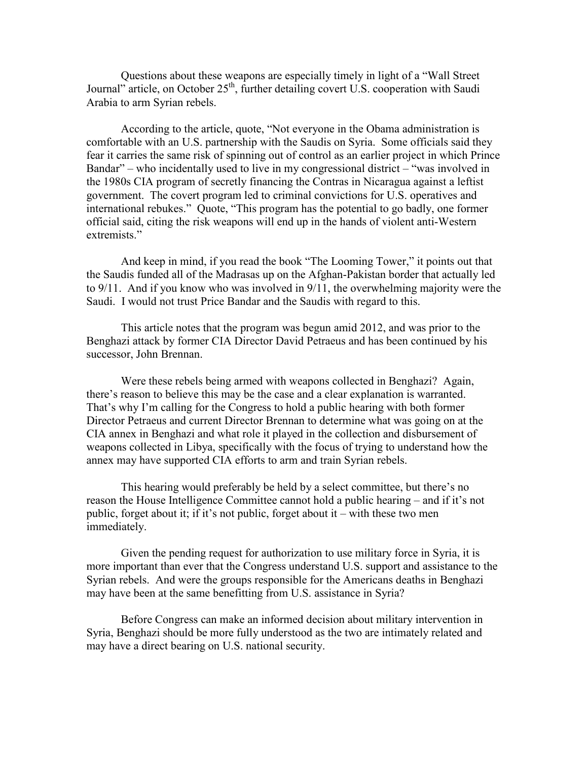Questions about these weapons are especially timely in light of a "Wall Street Journal" article, on October 25<sup>th</sup>, further detailing covert U.S. cooperation with Saudi Arabia to arm Syrian rebels.

According to the article, quote, "Not everyone in the Obama administration is comfortable with an U.S. partnership with the Saudis on Syria. Some officials said they fear it carries the same risk of spinning out of control as an earlier project in which Prince Bandar" – who incidentally used to live in my congressional district – "was involved in the 1980s CIA program of secretly financing the Contras in Nicaragua against a leftist government. The covert program led to criminal convictions for U.S. operatives and international rebukes." Quote, "This program has the potential to go badly, one former official said, citing the risk weapons will end up in the hands of violent anti-Western extremists."

And keep in mind, if you read the book "The Looming Tower," it points out that the Saudis funded all of the Madrasas up on the Afghan-Pakistan border that actually led to 9/11. And if you know who was involved in 9/11, the overwhelming majority were the Saudi. I would not trust Price Bandar and the Saudis with regard to this.

This article notes that the program was begun amid 2012, and was prior to the Benghazi attack by former CIA Director David Petraeus and has been continued by his successor, John Brennan.

Were these rebels being armed with weapons collected in Benghazi? Again, there's reason to believe this may be the case and a clear explanation is warranted. That's why I'm calling for the Congress to hold a public hearing with both former Director Petraeus and current Director Brennan to determine what was going on at the CIA annex in Benghazi and what role it played in the collection and disbursement of weapons collected in Libya, specifically with the focus of trying to understand how the annex may have supported CIA efforts to arm and train Syrian rebels.

This hearing would preferably be held by a select committee, but there's no reason the House Intelligence Committee cannot hold a public hearing – and if it's not public, forget about it; if it's not public, forget about it – with these two men immediately.

Given the pending request for authorization to use military force in Syria, it is more important than ever that the Congress understand U.S. support and assistance to the Syrian rebels. And were the groups responsible for the Americans deaths in Benghazi may have been at the same benefitting from U.S. assistance in Syria?

Before Congress can make an informed decision about military intervention in Syria, Benghazi should be more fully understood as the two are intimately related and may have a direct bearing on U.S. national security.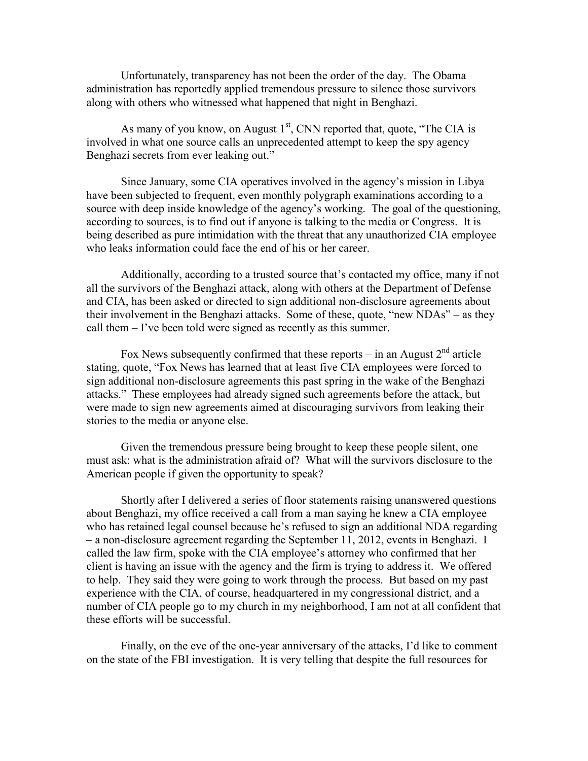Unfortunately, transparency has not been the order of the day. The Obama administration has reportedly applied tremendous pressure to silence those survivors along with others who witnessed what happened that night in Benghazi.

As many of you know, on August  $1<sup>st</sup>$ , CNN reported that, quote, "The CIA is involved in what one source calls an unprecedented attempt to keep the spy agency Benghazi secrets from ever leaking out."

Since January, some CIA operatives involved in the agency's mission in Libya have been subjected to frequent, even monthly polygraph examinations according to a source with deep inside knowledge of the agency's working. The goal of the questioning, according to sources, is to find out if anyone is talking to the media or Congress. It is being described as pure intimidation with the threat that any unauthorized CIA employee who leaks information could face the end of his or her career.

Additionally, according to a trusted source that's contacted my office, many if not all the survivors of the Benghazi attack, along with others at the Department of Defense and CIA, has been asked or directed to sign additional non-disclosure agreements about their involvement in the Benghazi attacks. Some of these, quote, "new NDAs" – as they call them – I've been told were signed as recently as this summer.

Fox News subsequently confirmed that these reports – in an August  $2<sup>nd</sup>$  article stating, quote, "Fox News has learned that at least five CIA employees were forced to sign additional non-disclosure agreements this past spring in the wake of the Benghazi attacks." These employees had already signed such agreements before the attack, but were made to sign new agreements aimed at discouraging survivors from leaking their stories to the media or anyone else.

Given the tremendous pressure being brought to keep these people silent, one must ask: what is the administration afraid of? What will the survivors disclosure to the American people if given the opportunity to speak?

Shortly after I delivered a series of floor statements raising unanswered questions about Benghazi, my office received a call from a man saying he knew a CIA employee who has retained legal counsel because he's refused to sign an additional NDA regarding – a non-disclosure agreement regarding the September 11, 2012, events in Benghazi. I called the law firm, spoke with the CIA employee's attorney who confirmed that her client is having an issue with the agency and the firm is trying to address it. We offered to help. They said they were going to work through the process. But based on my past experience with the CIA, of course, headquartered in my congressional district, and a number of CIA people go to my church in my neighborhood, I am not at all confident that these efforts will be successful.

Finally, on the eve of the one-year anniversary of the attacks, I'd like to comment on the state of the FBI investigation. It is very telling that despite the full resources for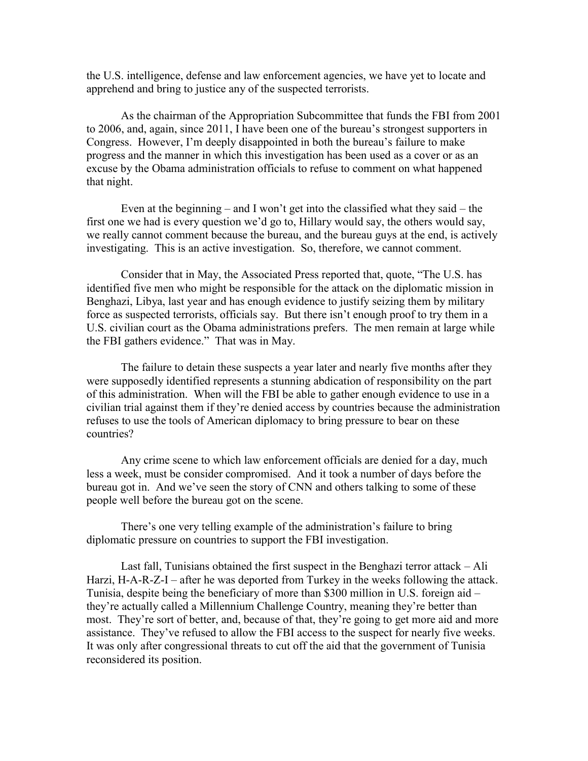the U.S. intelligence, defense and law enforcement agencies, we have yet to locate and apprehend and bring to justice any of the suspected terrorists.

As the chairman of the Appropriation Subcommittee that funds the FBI from 2001 to 2006, and, again, since 2011, I have been one of the bureau's strongest supporters in Congress. However, I'm deeply disappointed in both the bureau's failure to make progress and the manner in which this investigation has been used as a cover or as an excuse by the Obama administration officials to refuse to comment on what happened that night.

Even at the beginning – and I won't get into the classified what they said – the first one we had is every question we'd go to, Hillary would say, the others would say, we really cannot comment because the bureau, and the bureau guys at the end, is actively investigating. This is an active investigation. So, therefore, we cannot comment.

Consider that in May, the Associated Press reported that, quote, "The U.S. has identified five men who might be responsible for the attack on the diplomatic mission in Benghazi, Libya, last year and has enough evidence to justify seizing them by military force as suspected terrorists, officials say. But there isn't enough proof to try them in a U.S. civilian court as the Obama administrations prefers. The men remain at large while the FBI gathers evidence." That was in May.

The failure to detain these suspects a year later and nearly five months after they were supposedly identified represents a stunning abdication of responsibility on the part of this administration. When will the FBI be able to gather enough evidence to use in a civilian trial against them if they're denied access by countries because the administration refuses to use the tools of American diplomacy to bring pressure to bear on these countries?

Any crime scene to which law enforcement officials are denied for a day, much less a week, must be consider compromised. And it took a number of days before the bureau got in. And we've seen the story of CNN and others talking to some of these people well before the bureau got on the scene.

There's one very telling example of the administration's failure to bring diplomatic pressure on countries to support the FBI investigation.

Last fall, Tunisians obtained the first suspect in the Benghazi terror attack – Ali Harzi, H-A-R-Z-I – after he was deported from Turkey in the weeks following the attack. Tunisia, despite being the beneficiary of more than \$300 million in U.S. foreign aid – they're actually called a Millennium Challenge Country, meaning they're better than most. They're sort of better, and, because of that, they're going to get more aid and more assistance. They've refused to allow the FBI access to the suspect for nearly five weeks. It was only after congressional threats to cut off the aid that the government of Tunisia reconsidered its position.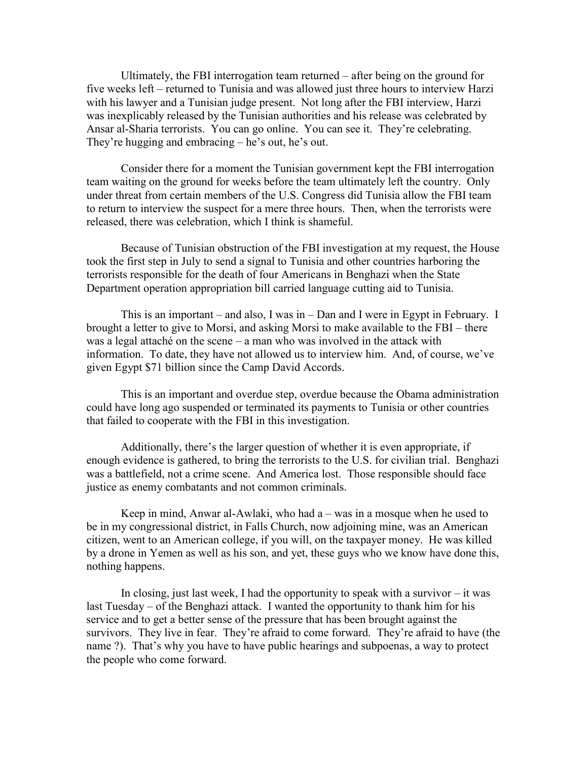Ultimately, the FBI interrogation team returned – after being on the ground for five weeks left – returned to Tunisia and was allowed just three hours to interview Harzi with his lawyer and a Tunisian judge present. Not long after the FBI interview, Harzi was inexplicably released by the Tunisian authorities and his release was celebrated by Ansar al-Sharia terrorists. You can go online. You can see it. They're celebrating. They're hugging and embracing – he's out, he's out.

Consider there for a moment the Tunisian government kept the FBI interrogation team waiting on the ground for weeks before the team ultimately left the country. Only under threat from certain members of the U.S. Congress did Tunisia allow the FBI team to return to interview the suspect for a mere three hours. Then, when the terrorists were released, there was celebration, which I think is shameful.

Because of Tunisian obstruction of the FBI investigation at my request, the House took the first step in July to send a signal to Tunisia and other countries harboring the terrorists responsible for the death of four Americans in Benghazi when the State Department operation appropriation bill carried language cutting aid to Tunisia.

This is an important – and also, I was in – Dan and I were in Egypt in February. I brought a letter to give to Morsi, and asking Morsi to make available to the FBI – there was a legal attaché on the scene – a man who was involved in the attack with information. To date, they have not allowed us to interview him. And, of course, we've given Egypt \$71 billion since the Camp David Accords.

This is an important and overdue step, overdue because the Obama administration could have long ago suspended or terminated its payments to Tunisia or other countries that failed to cooperate with the FBI in this investigation.

Additionally, there's the larger question of whether it is even appropriate, if enough evidence is gathered, to bring the terrorists to the U.S. for civilian trial. Benghazi was a battlefield, not a crime scene. And America lost. Those responsible should face justice as enemy combatants and not common criminals.

Keep in mind, Anwar al-Awlaki, who had  $a$  – was in a mosque when he used to be in my congressional district, in Falls Church, now adjoining mine, was an American citizen, went to an American college, if you will, on the taxpayer money. He was killed by a drone in Yemen as well as his son, and yet, these guys who we know have done this, nothing happens.

In closing, just last week, I had the opportunity to speak with a survivor  $-$  it was last Tuesday – of the Benghazi attack. I wanted the opportunity to thank him for his service and to get a better sense of the pressure that has been brought against the survivors. They live in fear. They're afraid to come forward. They're afraid to have (the name ?). That's why you have to have public hearings and subpoenas, a way to protect the people who come forward.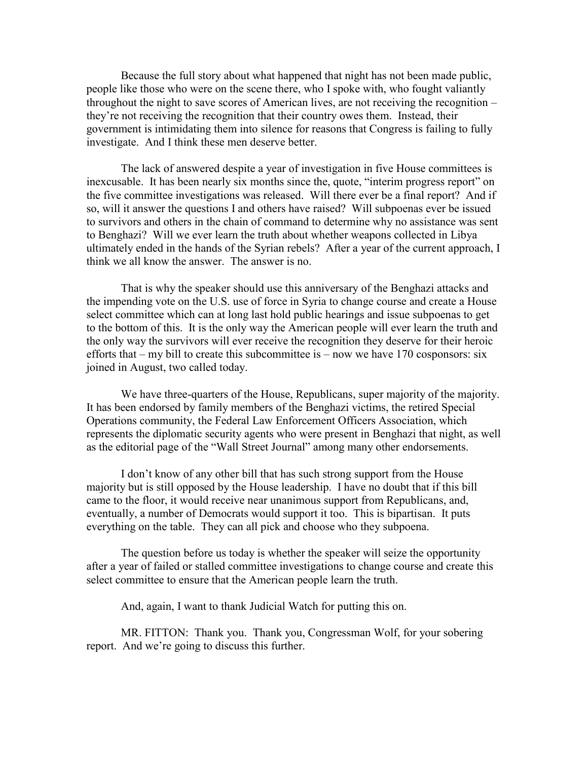Because the full story about what happened that night has not been made public, people like those who were on the scene there, who I spoke with, who fought valiantly throughout the night to save scores of American lives, are not receiving the recognition – they're not receiving the recognition that their country owes them. Instead, their government is intimidating them into silence for reasons that Congress is failing to fully investigate. And I think these men deserve better.

The lack of answered despite a year of investigation in five House committees is inexcusable. It has been nearly six months since the, quote, "interim progress report" on the five committee investigations was released. Will there ever be a final report? And if so, will it answer the questions I and others have raised? Will subpoenas ever be issued to survivors and others in the chain of command to determine why no assistance was sent to Benghazi? Will we ever learn the truth about whether weapons collected in Libya ultimately ended in the hands of the Syrian rebels? After a year of the current approach, I think we all know the answer. The answer is no.

That is why the speaker should use this anniversary of the Benghazi attacks and the impending vote on the U.S. use of force in Syria to change course and create a House select committee which can at long last hold public hearings and issue subpoenas to get to the bottom of this. It is the only way the American people will ever learn the truth and the only way the survivors will ever receive the recognition they deserve for their heroic efforts that – my bill to create this subcommittee is – now we have 170 cosponsors: six joined in August, two called today.

We have three-quarters of the House, Republicans, super majority of the majority. It has been endorsed by family members of the Benghazi victims, the retired Special Operations community, the Federal Law Enforcement Officers Association, which represents the diplomatic security agents who were present in Benghazi that night, as well as the editorial page of the "Wall Street Journal" among many other endorsements.

I don't know of any other bill that has such strong support from the House majority but is still opposed by the House leadership. I have no doubt that if this bill came to the floor, it would receive near unanimous support from Republicans, and, eventually, a number of Democrats would support it too. This is bipartisan. It puts everything on the table. They can all pick and choose who they subpoena.

The question before us today is whether the speaker will seize the opportunity after a year of failed or stalled committee investigations to change course and create this select committee to ensure that the American people learn the truth.

And, again, I want to thank Judicial Watch for putting this on.

MR. FITTON: Thank you. Thank you, Congressman Wolf, for your sobering report. And we're going to discuss this further.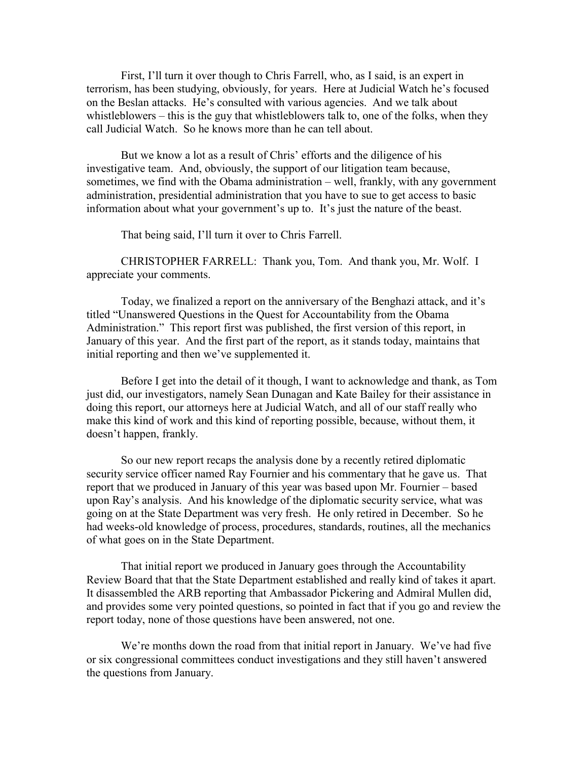First, I'll turn it over though to Chris Farrell, who, as I said, is an expert in terrorism, has been studying, obviously, for years. Here at Judicial Watch he's focused on the Beslan attacks. He's consulted with various agencies. And we talk about whistleblowers – this is the guy that whistleblowers talk to, one of the folks, when they call Judicial Watch. So he knows more than he can tell about.

But we know a lot as a result of Chris' efforts and the diligence of his investigative team. And, obviously, the support of our litigation team because, sometimes, we find with the Obama administration – well, frankly, with any government administration, presidential administration that you have to sue to get access to basic information about what your government's up to. It's just the nature of the beast.

That being said, I'll turn it over to Chris Farrell.

CHRISTOPHER FARRELL: Thank you, Tom. And thank you, Mr. Wolf. I appreciate your comments.

Today, we finalized a report on the anniversary of the Benghazi attack, and it's titled "Unanswered Questions in the Quest for Accountability from the Obama Administration." This report first was published, the first version of this report, in January of this year. And the first part of the report, as it stands today, maintains that initial reporting and then we've supplemented it.

Before I get into the detail of it though, I want to acknowledge and thank, as Tom just did, our investigators, namely Sean Dunagan and Kate Bailey for their assistance in doing this report, our attorneys here at Judicial Watch, and all of our staff really who make this kind of work and this kind of reporting possible, because, without them, it doesn't happen, frankly.

So our new report recaps the analysis done by a recently retired diplomatic security service officer named Ray Fournier and his commentary that he gave us. That report that we produced in January of this year was based upon Mr. Fournier – based upon Ray's analysis. And his knowledge of the diplomatic security service, what was going on at the State Department was very fresh. He only retired in December. So he had weeks-old knowledge of process, procedures, standards, routines, all the mechanics of what goes on in the State Department.

That initial report we produced in January goes through the Accountability Review Board that that the State Department established and really kind of takes it apart. It disassembled the ARB reporting that Ambassador Pickering and Admiral Mullen did, and provides some very pointed questions, so pointed in fact that if you go and review the report today, none of those questions have been answered, not one.

We're months down the road from that initial report in January. We've had five or six congressional committees conduct investigations and they still haven't answered the questions from January.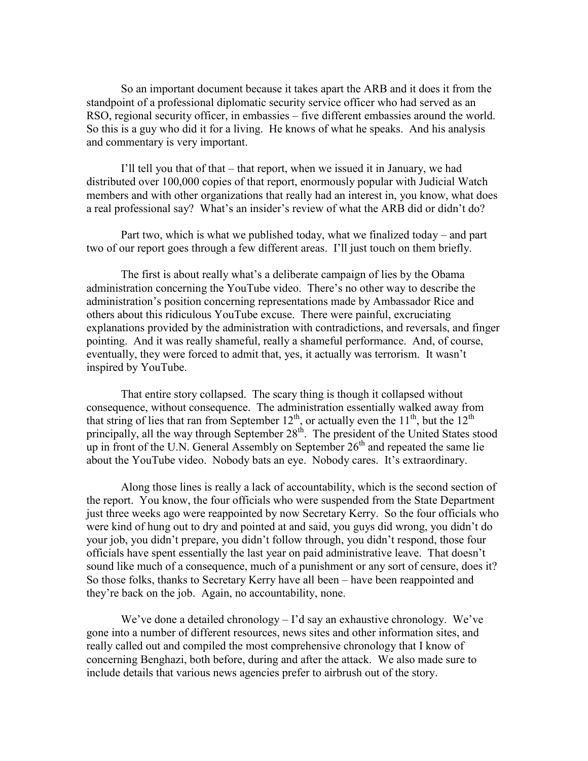So an important document because it takes apart the ARB and it does it from the standpoint of a professional diplomatic security service officer who had served as an RSO, regional security officer, in embassies – five different embassies around the world. So this is a guy who did it for a living. He knows of what he speaks. And his analysis and commentary is very important.

I'll tell you that of that – that report, when we issued it in January, we had distributed over 100,000 copies of that report, enormously popular with Judicial Watch members and with other organizations that really had an interest in, you know, what does a real professional say? What's an insider's review of what the ARB did or didn't do?

Part two, which is what we published today, what we finalized today – and part two of our report goes through a few different areas. I'll just touch on them briefly.

The first is about really what's a deliberate campaign of lies by the Obama administration concerning the YouTube video. There's no other way to describe the administration's position concerning representations made by Ambassador Rice and others about this ridiculous YouTube excuse. There were painful, excruciating explanations provided by the administration with contradictions, and reversals, and finger pointing. And it was really shameful, really a shameful performance. And, of course, eventually, they were forced to admit that, yes, it actually was terrorism. It wasn't inspired by YouTube.

That entire story collapsed. The scary thing is though it collapsed without consequence, without consequence. The administration essentially walked away from that string of lies that ran from September  $12^{th}$ , or actually even the  $11^{th}$ , but the  $12^{th}$ principally, all the way through September  $28<sup>th</sup>$ . The president of the United States stood up in front of the U.N. General Assembly on September  $26<sup>th</sup>$  and repeated the same lie about the YouTube video. Nobody bats an eye. Nobody cares. It's extraordinary.

Along those lines is really a lack of accountability, which is the second section of the report. You know, the four officials who were suspended from the State Department just three weeks ago were reappointed by now Secretary Kerry. So the four officials who were kind of hung out to dry and pointed at and said, you guys did wrong, you didn't do your job, you didn't prepare, you didn't follow through, you didn't respond, those four officials have spent essentially the last year on paid administrative leave. That doesn't sound like much of a consequence, much of a punishment or any sort of censure, does it? So those folks, thanks to Secretary Kerry have all been – have been reappointed and they're back on the job. Again, no accountability, none.

We've done a detailed chronology – I'd say an exhaustive chronology. We've gone into a number of different resources, news sites and other information sites, and really called out and compiled the most comprehensive chronology that I know of concerning Benghazi, both before, during and after the attack. We also made sure to include details that various news agencies prefer to airbrush out of the story.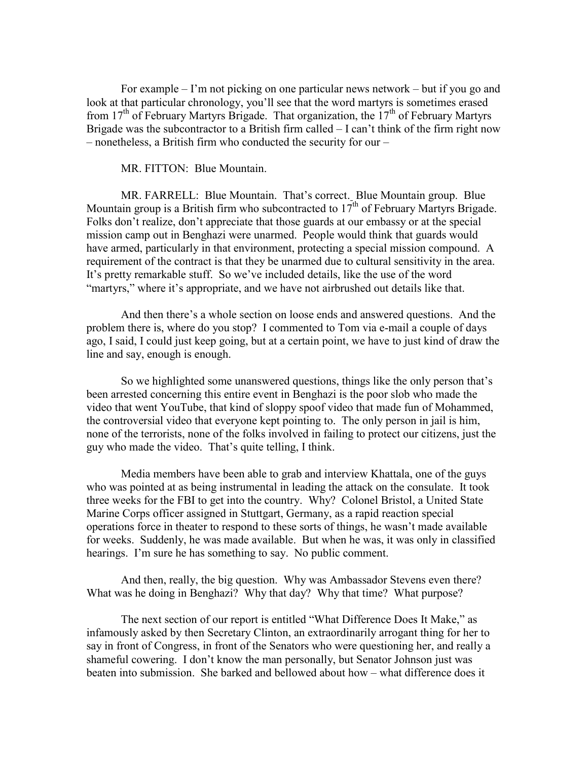For example – I'm not picking on one particular news network – but if you go and look at that particular chronology, you'll see that the word martyrs is sometimes erased from  $17<sup>th</sup>$  of February Martyrs Brigade. That organization, the  $17<sup>th</sup>$  of February Martyrs Brigade was the subcontractor to a British firm called – I can't think of the firm right now – nonetheless, a British firm who conducted the security for our –

MR. FITTON: Blue Mountain.

MR. FARRELL: Blue Mountain. That's correct. Blue Mountain group. Blue Mountain group is a British firm who subcontracted to  $17<sup>th</sup>$  of February Martyrs Brigade. Folks don't realize, don't appreciate that those guards at our embassy or at the special mission camp out in Benghazi were unarmed. People would think that guards would have armed, particularly in that environment, protecting a special mission compound. A requirement of the contract is that they be unarmed due to cultural sensitivity in the area. It's pretty remarkable stuff. So we've included details, like the use of the word "martyrs," where it's appropriate, and we have not airbrushed out details like that.

And then there's a whole section on loose ends and answered questions. And the problem there is, where do you stop? I commented to Tom via e-mail a couple of days ago, I said, I could just keep going, but at a certain point, we have to just kind of draw the line and say, enough is enough.

So we highlighted some unanswered questions, things like the only person that's been arrested concerning this entire event in Benghazi is the poor slob who made the video that went YouTube, that kind of sloppy spoof video that made fun of Mohammed, the controversial video that everyone kept pointing to. The only person in jail is him, none of the terrorists, none of the folks involved in failing to protect our citizens, just the guy who made the video. That's quite telling, I think.

Media members have been able to grab and interview Khattala, one of the guys who was pointed at as being instrumental in leading the attack on the consulate. It took three weeks for the FBI to get into the country. Why? Colonel Bristol, a United State Marine Corps officer assigned in Stuttgart, Germany, as a rapid reaction special operations force in theater to respond to these sorts of things, he wasn't made available for weeks. Suddenly, he was made available. But when he was, it was only in classified hearings. I'm sure he has something to say. No public comment.

And then, really, the big question. Why was Ambassador Stevens even there? What was he doing in Benghazi? Why that day? Why that time? What purpose?

The next section of our report is entitled "What Difference Does It Make," as infamously asked by then Secretary Clinton, an extraordinarily arrogant thing for her to say in front of Congress, in front of the Senators who were questioning her, and really a shameful cowering. I don't know the man personally, but Senator Johnson just was beaten into submission. She barked and bellowed about how – what difference does it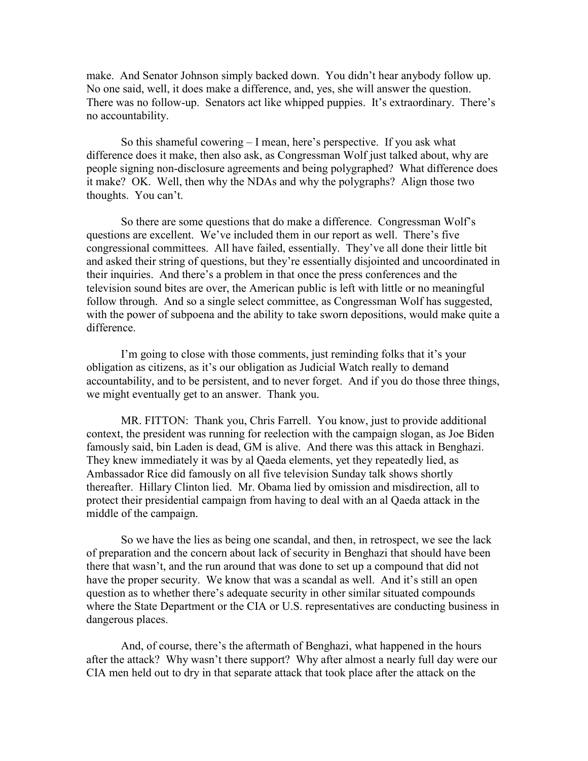make. And Senator Johnson simply backed down. You didn't hear anybody follow up. No one said, well, it does make a difference, and, yes, she will answer the question. There was no follow-up. Senators act like whipped puppies. It's extraordinary. There's no accountability.

So this shameful cowering – I mean, here's perspective. If you ask what difference does it make, then also ask, as Congressman Wolf just talked about, why are people signing non-disclosure agreements and being polygraphed? What difference does it make? OK. Well, then why the NDAs and why the polygraphs? Align those two thoughts. You can't.

So there are some questions that do make a difference. Congressman Wolf's questions are excellent. We've included them in our report as well. There's five congressional committees. All have failed, essentially. They've all done their little bit and asked their string of questions, but they're essentially disjointed and uncoordinated in their inquiries. And there's a problem in that once the press conferences and the television sound bites are over, the American public is left with little or no meaningful follow through. And so a single select committee, as Congressman Wolf has suggested, with the power of subpoena and the ability to take sworn depositions, would make quite a difference.

I'm going to close with those comments, just reminding folks that it's your obligation as citizens, as it's our obligation as Judicial Watch really to demand accountability, and to be persistent, and to never forget. And if you do those three things, we might eventually get to an answer. Thank you.

MR. FITTON: Thank you, Chris Farrell. You know, just to provide additional context, the president was running for reelection with the campaign slogan, as Joe Biden famously said, bin Laden is dead, GM is alive. And there was this attack in Benghazi. They knew immediately it was by al Qaeda elements, yet they repeatedly lied, as Ambassador Rice did famously on all five television Sunday talk shows shortly thereafter. Hillary Clinton lied. Mr. Obama lied by omission and misdirection, all to protect their presidential campaign from having to deal with an al Qaeda attack in the middle of the campaign.

So we have the lies as being one scandal, and then, in retrospect, we see the lack of preparation and the concern about lack of security in Benghazi that should have been there that wasn't, and the run around that was done to set up a compound that did not have the proper security. We know that was a scandal as well. And it's still an open question as to whether there's adequate security in other similar situated compounds where the State Department or the CIA or U.S. representatives are conducting business in dangerous places.

And, of course, there's the aftermath of Benghazi, what happened in the hours after the attack? Why wasn't there support? Why after almost a nearly full day were our CIA men held out to dry in that separate attack that took place after the attack on the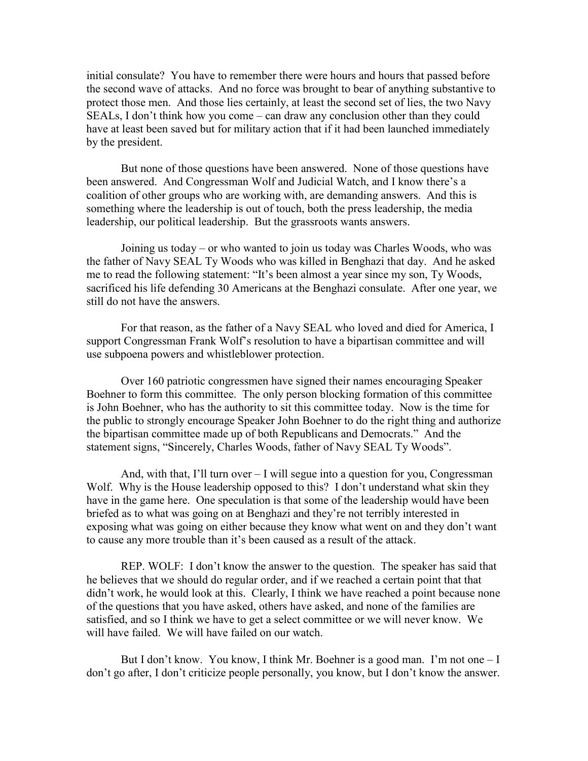initial consulate? You have to remember there were hours and hours that passed before the second wave of attacks. And no force was brought to bear of anything substantive to protect those men. And those lies certainly, at least the second set of lies, the two Navy SEALs, I don't think how you come – can draw any conclusion other than they could have at least been saved but for military action that if it had been launched immediately by the president.

But none of those questions have been answered. None of those questions have been answered. And Congressman Wolf and Judicial Watch, and I know there's a coalition of other groups who are working with, are demanding answers. And this is something where the leadership is out of touch, both the press leadership, the media leadership, our political leadership. But the grassroots wants answers.

Joining us today – or who wanted to join us today was Charles Woods, who was the father of Navy SEAL Ty Woods who was killed in Benghazi that day. And he asked me to read the following statement: "It's been almost a year since my son, Ty Woods, sacrificed his life defending 30 Americans at the Benghazi consulate. After one year, we still do not have the answers.

For that reason, as the father of a Navy SEAL who loved and died for America, I support Congressman Frank Wolf's resolution to have a bipartisan committee and will use subpoena powers and whistleblower protection.

Over 160 patriotic congressmen have signed their names encouraging Speaker Boehner to form this committee. The only person blocking formation of this committee is John Boehner, who has the authority to sit this committee today. Now is the time for the public to strongly encourage Speaker John Boehner to do the right thing and authorize the bipartisan committee made up of both Republicans and Democrats." And the statement signs, "Sincerely, Charles Woods, father of Navy SEAL Ty Woods".

And, with that, I'll turn over  $-I$  will segue into a question for you, Congressman Wolf. Why is the House leadership opposed to this? I don't understand what skin they have in the game here. One speculation is that some of the leadership would have been briefed as to what was going on at Benghazi and they're not terribly interested in exposing what was going on either because they know what went on and they don't want to cause any more trouble than it's been caused as a result of the attack.

REP. WOLF: I don't know the answer to the question. The speaker has said that he believes that we should do regular order, and if we reached a certain point that that didn't work, he would look at this. Clearly, I think we have reached a point because none of the questions that you have asked, others have asked, and none of the families are satisfied, and so I think we have to get a select committee or we will never know. We will have failed. We will have failed on our watch.

But I don't know. You know, I think Mr. Boehner is a good man. I'm not one – I don't go after, I don't criticize people personally, you know, but I don't know the answer.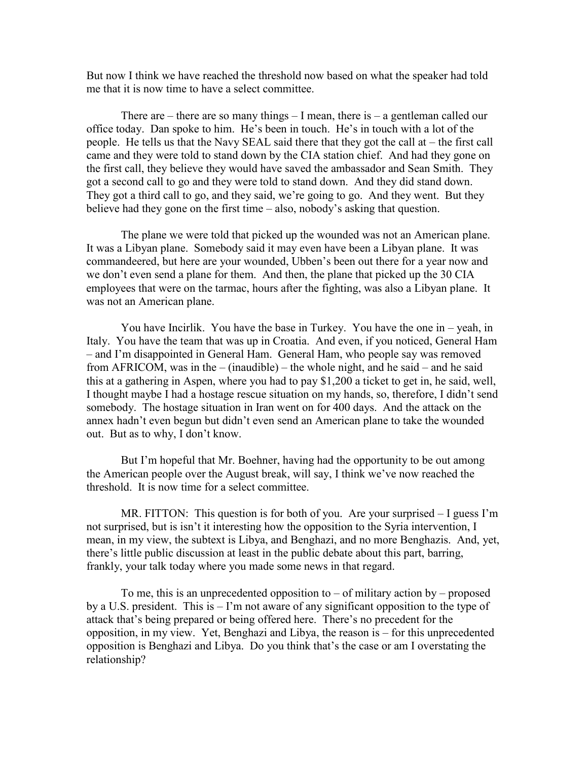But now I think we have reached the threshold now based on what the speaker had told me that it is now time to have a select committee.

There are – there are so many things – I mean, there is – a gentleman called our office today. Dan spoke to him. He's been in touch. He's in touch with a lot of the people. He tells us that the Navy SEAL said there that they got the call at – the first call came and they were told to stand down by the CIA station chief. And had they gone on the first call, they believe they would have saved the ambassador and Sean Smith. They got a second call to go and they were told to stand down. And they did stand down. They got a third call to go, and they said, we're going to go. And they went. But they believe had they gone on the first time – also, nobody's asking that question.

The plane we were told that picked up the wounded was not an American plane. It was a Libyan plane. Somebody said it may even have been a Libyan plane. It was commandeered, but here are your wounded, Ubben's been out there for a year now and we don't even send a plane for them. And then, the plane that picked up the 30 CIA employees that were on the tarmac, hours after the fighting, was also a Libyan plane. It was not an American plane.

You have Incirlik. You have the base in Turkey. You have the one in – yeah, in Italy. You have the team that was up in Croatia. And even, if you noticed, General Ham – and I'm disappointed in General Ham. General Ham, who people say was removed from AFRICOM, was in the – (inaudible) – the whole night, and he said – and he said this at a gathering in Aspen, where you had to pay \$1,200 a ticket to get in, he said, well, I thought maybe I had a hostage rescue situation on my hands, so, therefore, I didn't send somebody. The hostage situation in Iran went on for 400 days. And the attack on the annex hadn't even begun but didn't even send an American plane to take the wounded out. But as to why, I don't know.

But I'm hopeful that Mr. Boehner, having had the opportunity to be out among the American people over the August break, will say, I think we've now reached the threshold. It is now time for a select committee.

MR. FITTON: This question is for both of you. Are your surprised – I guess I'm not surprised, but is isn't it interesting how the opposition to the Syria intervention, I mean, in my view, the subtext is Libya, and Benghazi, and no more Benghazis. And, yet, there's little public discussion at least in the public debate about this part, barring, frankly, your talk today where you made some news in that regard.

To me, this is an unprecedented opposition to  $-$  of military action by  $-$  proposed by a U.S. president. This is – I'm not aware of any significant opposition to the type of attack that's being prepared or being offered here. There's no precedent for the opposition, in my view. Yet, Benghazi and Libya, the reason is – for this unprecedented opposition is Benghazi and Libya. Do you think that's the case or am I overstating the relationship?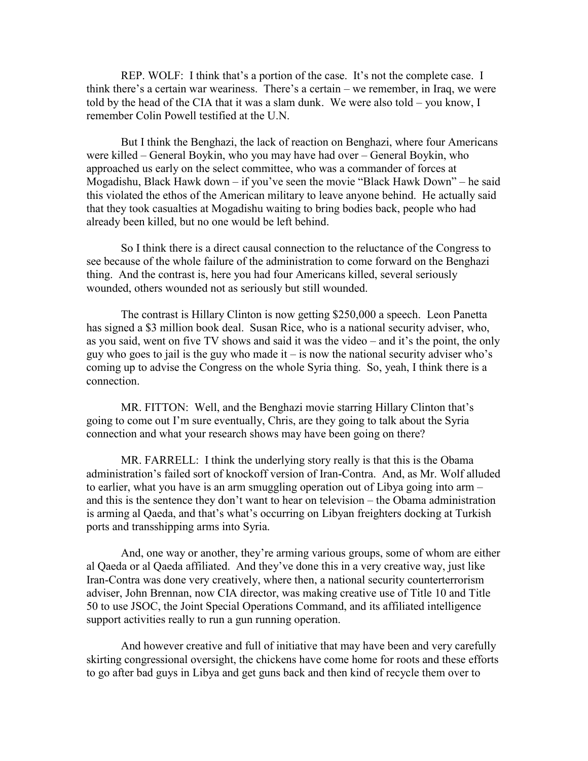REP. WOLF: I think that's a portion of the case. It's not the complete case. I think there's a certain war weariness. There's a certain – we remember, in Iraq, we were told by the head of the CIA that it was a slam dunk. We were also told – you know, I remember Colin Powell testified at the U.N.

But I think the Benghazi, the lack of reaction on Benghazi, where four Americans were killed – General Boykin, who you may have had over – General Boykin, who approached us early on the select committee, who was a commander of forces at Mogadishu, Black Hawk down – if you've seen the movie "Black Hawk Down" – he said this violated the ethos of the American military to leave anyone behind. He actually said that they took casualties at Mogadishu waiting to bring bodies back, people who had already been killed, but no one would be left behind.

So I think there is a direct causal connection to the reluctance of the Congress to see because of the whole failure of the administration to come forward on the Benghazi thing. And the contrast is, here you had four Americans killed, several seriously wounded, others wounded not as seriously but still wounded.

The contrast is Hillary Clinton is now getting \$250,000 a speech. Leon Panetta has signed a \$3 million book deal. Susan Rice, who is a national security adviser, who, as you said, went on five TV shows and said it was the video – and it's the point, the only guy who goes to jail is the guy who made it – is now the national security adviser who's coming up to advise the Congress on the whole Syria thing. So, yeah, I think there is a connection.

MR. FITTON: Well, and the Benghazi movie starring Hillary Clinton that's going to come out I'm sure eventually, Chris, are they going to talk about the Syria connection and what your research shows may have been going on there?

MR. FARRELL: I think the underlying story really is that this is the Obama administration's failed sort of knockoff version of Iran-Contra. And, as Mr. Wolf alluded to earlier, what you have is an arm smuggling operation out of Libya going into arm – and this is the sentence they don't want to hear on television – the Obama administration is arming al Qaeda, and that's what's occurring on Libyan freighters docking at Turkish ports and transshipping arms into Syria.

And, one way or another, they're arming various groups, some of whom are either al Qaeda or al Qaeda affiliated. And they've done this in a very creative way, just like Iran-Contra was done very creatively, where then, a national security counterterrorism adviser, John Brennan, now CIA director, was making creative use of Title 10 and Title 50 to use JSOC, the Joint Special Operations Command, and its affiliated intelligence support activities really to run a gun running operation.

And however creative and full of initiative that may have been and very carefully skirting congressional oversight, the chickens have come home for roots and these efforts to go after bad guys in Libya and get guns back and then kind of recycle them over to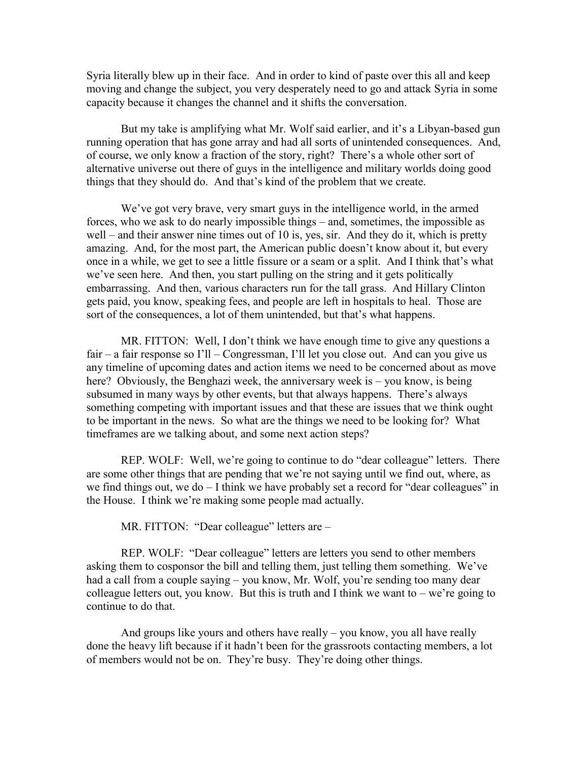Syria literally blew up in their face. And in order to kind of paste over this all and keep moving and change the subject, you very desperately need to go and attack Syria in some capacity because it changes the channel and it shifts the conversation.

But my take is amplifying what Mr. Wolf said earlier, and it's a Libyan-based gun running operation that has gone array and had all sorts of unintended consequences. And, of course, we only know a fraction of the story, right? There's a whole other sort of alternative universe out there of guys in the intelligence and military worlds doing good things that they should do. And that's kind of the problem that we create.

We've got very brave, very smart guys in the intelligence world, in the armed forces, who we ask to do nearly impossible things – and, sometimes, the impossible as well – and their answer nine times out of 10 is, yes, sir. And they do it, which is pretty amazing. And, for the most part, the American public doesn't know about it, but every once in a while, we get to see a little fissure or a seam or a split. And I think that's what we've seen here. And then, you start pulling on the string and it gets politically embarrassing. And then, various characters run for the tall grass. And Hillary Clinton gets paid, you know, speaking fees, and people are left in hospitals to heal. Those are sort of the consequences, a lot of them unintended, but that's what happens.

MR. FITTON: Well, I don't think we have enough time to give any questions a fair – a fair response so I'll – Congressman, I'll let you close out. And can you give us any timeline of upcoming dates and action items we need to be concerned about as move here? Obviously, the Benghazi week, the anniversary week is – you know, is being subsumed in many ways by other events, but that always happens. There's always something competing with important issues and that these are issues that we think ought to be important in the news. So what are the things we need to be looking for? What timeframes are we talking about, and some next action steps?

REP. WOLF: Well, we're going to continue to do "dear colleague" letters. There are some other things that are pending that we're not saying until we find out, where, as we find things out, we do – I think we have probably set a record for "dear colleagues" in the House. I think we're making some people mad actually.

MR. FITTON: "Dear colleague" letters are -

REP. WOLF: "Dear colleague" letters are letters you send to other members asking them to cosponsor the bill and telling them, just telling them something. We've had a call from a couple saying – you know, Mr. Wolf, you're sending too many dear colleague letters out, you know. But this is truth and I think we want to – we're going to continue to do that.

And groups like yours and others have really – you know, you all have really done the heavy lift because if it hadn't been for the grassroots contacting members, a lot of members would not be on. They're busy. They're doing other things.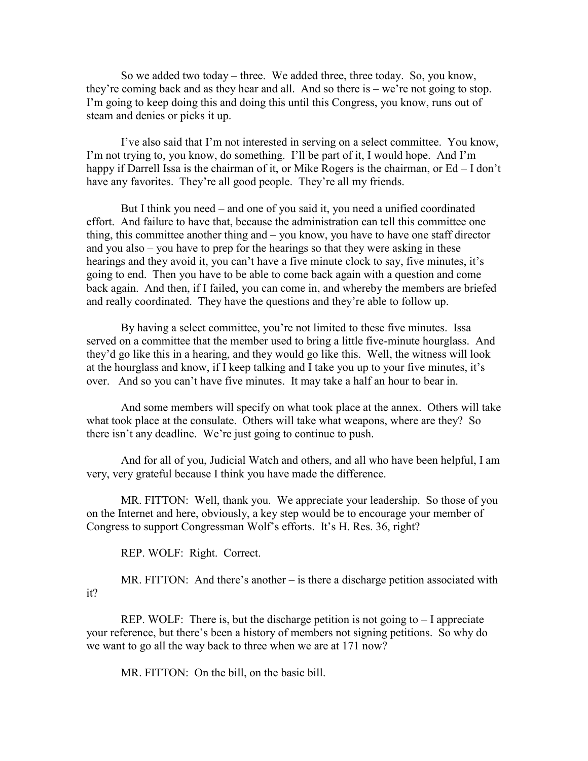So we added two today – three. We added three, three today. So, you know, they're coming back and as they hear and all. And so there is – we're not going to stop. I'm going to keep doing this and doing this until this Congress, you know, runs out of steam and denies or picks it up.

I've also said that I'm not interested in serving on a select committee. You know, I'm not trying to, you know, do something. I'll be part of it, I would hope. And I'm happy if Darrell Issa is the chairman of it, or Mike Rogers is the chairman, or Ed – I don't have any favorites. They're all good people. They're all my friends.

But I think you need – and one of you said it, you need a unified coordinated effort. And failure to have that, because the administration can tell this committee one thing, this committee another thing and – you know, you have to have one staff director and you also – you have to prep for the hearings so that they were asking in these hearings and they avoid it, you can't have a five minute clock to say, five minutes, it's going to end. Then you have to be able to come back again with a question and come back again. And then, if I failed, you can come in, and whereby the members are briefed and really coordinated. They have the questions and they're able to follow up.

By having a select committee, you're not limited to these five minutes. Issa served on a committee that the member used to bring a little five-minute hourglass. And they'd go like this in a hearing, and they would go like this. Well, the witness will look at the hourglass and know, if I keep talking and I take you up to your five minutes, it's over. And so you can't have five minutes. It may take a half an hour to bear in.

And some members will specify on what took place at the annex. Others will take what took place at the consulate. Others will take what weapons, where are they? So there isn't any deadline. We're just going to continue to push.

And for all of you, Judicial Watch and others, and all who have been helpful, I am very, very grateful because I think you have made the difference.

MR. FITTON: Well, thank you. We appreciate your leadership. So those of you on the Internet and here, obviously, a key step would be to encourage your member of Congress to support Congressman Wolf's efforts. It's H. Res. 36, right?

REP. WOLF: Right. Correct.

MR. FITTON: And there's another – is there a discharge petition associated with it?

REP. WOLF: There is, but the discharge petition is not going to  $-1$  appreciate your reference, but there's been a history of members not signing petitions. So why do we want to go all the way back to three when we are at 171 now?

MR. FITTON: On the bill, on the basic bill.